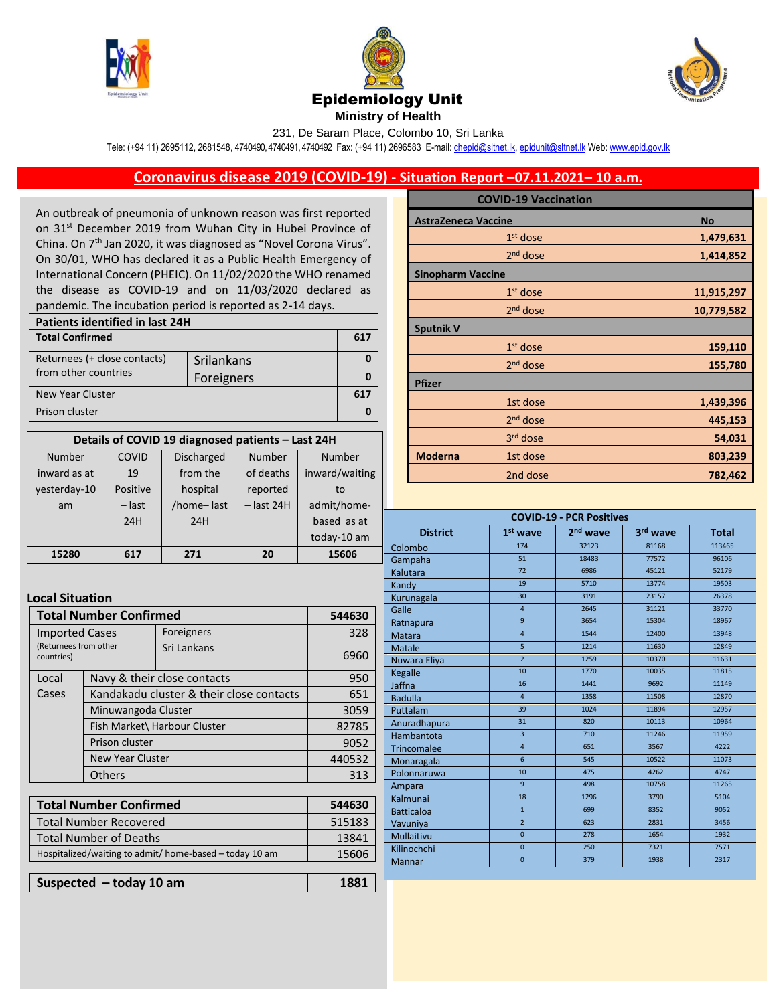





231, De Saram Place, Colombo 10, Sri Lanka

Tele: (+94 11) 2695112, 2681548, 4740490, 4740491, 4740492 Fax: (+94 11) 2696583 E-mail[: chepid@sltnet.lk,](mailto:chepi@sltnet.lk) [epidunit@sltnet.lk](mailto:epidunit@sltnet.lk) Web[: www.epid.gov.lk](http://www.epid.gov.lk/)

## **Coronavirus disease 2019 (COVID-19) - Situation Report –07.11.2021– 10 a.m.**

An outbreak of pneumonia of unknown reason was first reported on 31<sup>st</sup> December 2019 from Wuhan City in Hubei Province of China. On 7<sup>th</sup> Jan 2020, it was diagnosed as "Novel Corona Virus". On 30/01, WHO has declared it as a Public Health Emergency of International Concern (PHEIC). On 11/02/2020 the WHO renamed the disease as COVID-19 and on 11/03/2020 declared as pandemic. The incubation period is reported as 2-14 days.

| Patients identified in last 24H |            |     |  |
|---------------------------------|------------|-----|--|
| <b>Total Confirmed</b>          |            | 617 |  |
| Returnees (+ close contacts)    | Srilankans |     |  |
| from other countries            | Foreigners |     |  |
| New Year Cluster                |            |     |  |
| Prison cluster                  |            |     |  |

| Details of COVID 19 diagnosed patients - Last 24H |          |                   |              |                |
|---------------------------------------------------|----------|-------------------|--------------|----------------|
| Number                                            | COVID    | <b>Discharged</b> | Number       | Number         |
| inward as at                                      | 19       | from the          | of deaths    | inward/waiting |
| yesterday-10                                      | Positive | hospital          | reported     | to             |
| am                                                | $-$ last | /home-last        | $-$ last 24H | admit/home-    |
|                                                   | 24H      | 24H               |              | based as at    |
|                                                   |          |                   |              | today-10 am    |
| 15280                                             | 617      | 271               | 20           | 15606          |

## **Local Situation**

| <b>Total Number Confirmed</b>                                                              |                                                |                             |
|--------------------------------------------------------------------------------------------|------------------------------------------------|-----------------------------|
|                                                                                            | Foreigners                                     | 328                         |
|                                                                                            | Sri Lankans                                    | 6960                        |
|                                                                                            |                                                |                             |
| Kandakadu cluster & their close contacts                                                   |                                                | 651                         |
| Minuwangoda Cluster                                                                        |                                                | 3059                        |
| Fish Market\ Harbour Cluster<br>Prison cluster<br><b>New Year Cluster</b><br><b>Others</b> |                                                | 82785                       |
|                                                                                            |                                                | 9052                        |
|                                                                                            |                                                | 440532                      |
|                                                                                            |                                                | 313                         |
|                                                                                            | <b>Imported Cases</b><br>(Returnees from other | Navy & their close contacts |

| <b>Total Number Confirmed</b>                           | 544630 |
|---------------------------------------------------------|--------|
| <b>Total Number Recovered</b>                           | 515183 |
| <b>Total Number of Deaths</b>                           | 13841  |
| Hospitalized/waiting to admit/ home-based - today 10 am | 15606  |
|                                                         |        |

| Suspected $-$ today 10 am | 1881 |
|---------------------------|------|
|---------------------------|------|

|                            | <b>COVID-19 Vaccination</b> |            |
|----------------------------|-----------------------------|------------|
| <b>AstraZeneca Vaccine</b> |                             | <b>No</b>  |
|                            | $1st$ dose                  | 1,479,631  |
|                            | $2nd$ dose                  | 1,414,852  |
| <b>Sinopharm Vaccine</b>   |                             |            |
|                            | $1st$ dose                  | 11,915,297 |
|                            | $2nd$ dose                  | 10,779,582 |
| <b>Sputnik V</b>           |                             |            |
|                            | $1st$ dose                  | 159,110    |
|                            | $2nd$ dose                  | 155,780    |
| <b>Pfizer</b>              |                             |            |
|                            | 1st dose                    | 1,439,396  |
|                            | 2 <sup>nd</sup> dose        | 445,153    |
|                            | 3rd dose                    | 54,031     |
| <b>Moderna</b>             | 1st dose                    | 803,239    |
|                            | 2nd dose                    | 782,462    |

| <b>COVID-19 - PCR Positives</b> |                 |                      |          |              |
|---------------------------------|-----------------|----------------------|----------|--------------|
| <b>District</b>                 | $1st$ wave      | 2 <sup>nd</sup> wave | 3rd wave | <b>Total</b> |
| Colombo                         | 174             | 32123                | 81168    | 113465       |
| Gampaha                         | 51              | 18483                | 77572    | 96106        |
| Kalutara                        | 72              | 6986                 | 45121    | 52179        |
| Kandy                           | 19              | 5710                 | 13774    | 19503        |
| Kurunagala                      | 30              | 3191                 | 23157    | 26378        |
| Galle                           | $\overline{4}$  | 2645                 | 31121    | 33770        |
| Ratnapura                       | $\overline{9}$  | 3654                 | 15304    | 18967        |
| <b>Matara</b>                   | $\overline{4}$  | 1544                 | 12400    | 13948        |
| <b>Matale</b>                   | $\overline{5}$  | 1214                 | 11630    | 12849        |
| Nuwara Eliya                    | $\overline{2}$  | 1259                 | 10370    | 11631        |
| <b>Kegalle</b>                  | 10              | 1770                 | 10035    | 11815        |
| Jaffna                          | 16              | 1441                 | 9692     | 11149        |
| <b>Badulla</b>                  | $\overline{4}$  | 1358                 | 11508    | 12870        |
| Puttalam                        | 39              | 1024                 | 11894    | 12957        |
| Anuradhapura                    | 31              | 820                  | 10113    | 10964        |
| Hambantota                      | $\overline{3}$  | 710                  | 11246    | 11959        |
| <b>Trincomalee</b>              | $\overline{4}$  | 651                  | 3567     | 4222         |
| Monaragala                      | $6\overline{6}$ | 545                  | 10522    | 11073        |
| Polonnaruwa                     | 10              | 475                  | 4262     | 4747         |
| Ampara                          | $\overline{9}$  | 498                  | 10758    | 11265        |
| Kalmunai                        | 18              | 1296                 | 3790     | 5104         |
| <b>Batticaloa</b>               | $\mathbf{1}$    | 699                  | 8352     | 9052         |
| Vavuniya                        | $\overline{2}$  | 623                  | 2831     | 3456         |
| Mullaitivu                      | $\overline{0}$  | 278                  | 1654     | 1932         |
| Kilinochchi                     | $\mathbf{0}$    | 250                  | 7321     | 7571         |
| <b>Mannar</b>                   | $\overline{0}$  | 379                  | 1938     | 2317         |